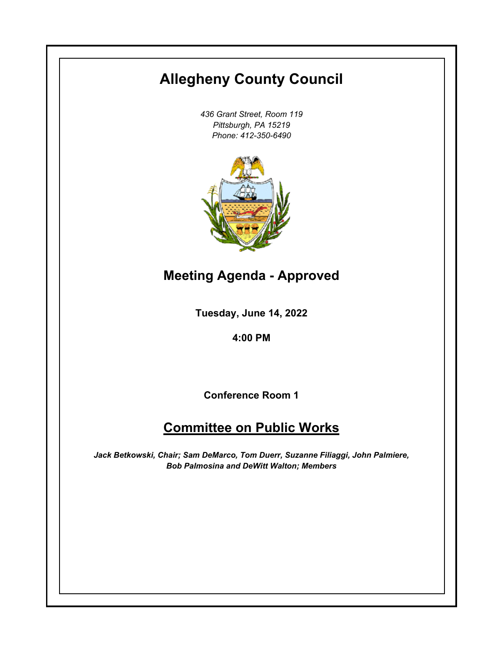# **Allegheny County Council**

*436 Grant Street, Room 119 Pittsburgh, PA 15219 Phone: 412-350-6490*



**Meeting Agenda - Approved**

**Tuesday, June 14, 2022**

**4:00 PM**

**Conference Room 1**

# **Committee on Public Works**

*Jack Betkowski, Chair; Sam DeMarco, Tom Duerr, Suzanne Filiaggi, John Palmiere, Bob Palmosina and DeWitt Walton; Members*